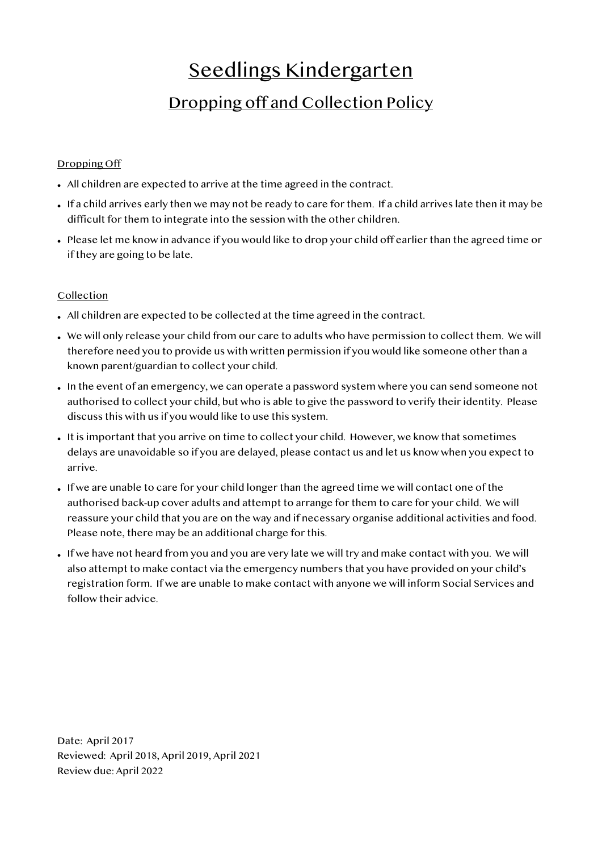## Seedlings Kindergarten

## Dropping off and Collection Policy

## Dropping Off

- All children are expected to arrive at the time agreed in the contract.
- If a child arrives early then we may not be ready to care for them. If a child arrives late then it may be difficult for them to integrate into the session with the other children.
- Please let me know in advance if you would like to drop your child off earlier than the agreed time or if they are going to be late.

## Collection

- All children are expected to be collected at the time agreed in the contract.
- We will only release your child from our care to adults who have permission to collect them. We will therefore need you to provide us with written permission if you would like someone other than a known parent/guardian to collect your child.
- In the event of an emergency, we can operate a password system where you can send someone not authorised to collect your child, but who is able to give the password to verify their identity. Please discuss this with us if you would like to use this system.
- It is important that you arrive on time to collect your child. However, we know that sometimes delays are unavoidable so if you are delayed, please contact us and let us know when you expect to arrive.
- If we are unable to care for your child longer than the agreed time we will contact one of the authorised back-up cover adults and attempt to arrange for them to care for your child. We will reassure your child that you are on the way and if necessary organise additional activities and food. Please note, there may be an additional charge for this.
- If we have not heard from you and you are very late we will try and make contact with you. We will also attempt to make contact via the emergency numbers that you have provided on your child's registration form. If we are unable to make contact with anyone we will inform Social Services and follow their advice.

Date: April 2017 Reviewed: April 2018, April 2019, April 2021 Review due: April 2022